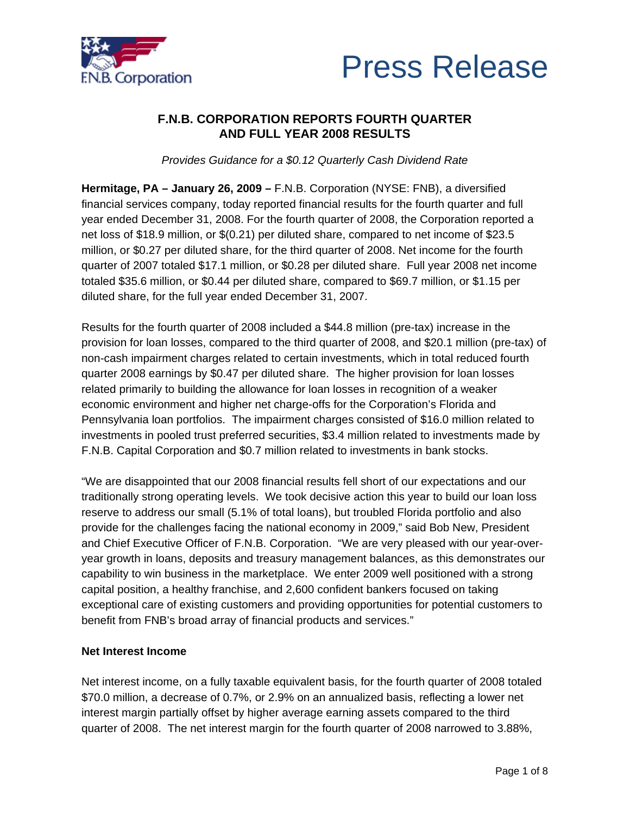



# **F.N.B. CORPORATION REPORTS FOURTH QUARTER AND FULL YEAR 2008 RESULTS**

*Provides Guidance for a \$0.12 Quarterly Cash Dividend Rate* 

**Hermitage, PA – January 26, 2009 –** F.N.B. Corporation (NYSE: FNB), a diversified financial services company, today reported financial results for the fourth quarter and full year ended December 31, 2008. For the fourth quarter of 2008, the Corporation reported a net loss of \$18.9 million, or \$(0.21) per diluted share, compared to net income of \$23.5 million, or \$0.27 per diluted share, for the third quarter of 2008. Net income for the fourth quarter of 2007 totaled \$17.1 million, or \$0.28 per diluted share. Full year 2008 net income totaled \$35.6 million, or \$0.44 per diluted share, compared to \$69.7 million, or \$1.15 per diluted share, for the full year ended December 31, 2007.

Results for the fourth quarter of 2008 included a \$44.8 million (pre-tax) increase in the provision for loan losses, compared to the third quarter of 2008, and \$20.1 million (pre-tax) of non-cash impairment charges related to certain investments, which in total reduced fourth quarter 2008 earnings by \$0.47 per diluted share. The higher provision for loan losses related primarily to building the allowance for loan losses in recognition of a weaker economic environment and higher net charge-offs for the Corporation's Florida and Pennsylvania loan portfolios. The impairment charges consisted of \$16.0 million related to investments in pooled trust preferred securities, \$3.4 million related to investments made by F.N.B. Capital Corporation and \$0.7 million related to investments in bank stocks.

"We are disappointed that our 2008 financial results fell short of our expectations and our traditionally strong operating levels. We took decisive action this year to build our loan loss reserve to address our small (5.1% of total loans), but troubled Florida portfolio and also provide for the challenges facing the national economy in 2009," said Bob New, President and Chief Executive Officer of F.N.B. Corporation. "We are very pleased with our year-overyear growth in loans, deposits and treasury management balances, as this demonstrates our capability to win business in the marketplace. We enter 2009 well positioned with a strong capital position, a healthy franchise, and 2,600 confident bankers focused on taking exceptional care of existing customers and providing opportunities for potential customers to benefit from FNB's broad array of financial products and services."

### **Net Interest Income**

Net interest income, on a fully taxable equivalent basis, for the fourth quarter of 2008 totaled \$70.0 million, a decrease of 0.7%, or 2.9% on an annualized basis, reflecting a lower net interest margin partially offset by higher average earning assets compared to the third quarter of 2008. The net interest margin for the fourth quarter of 2008 narrowed to 3.88%,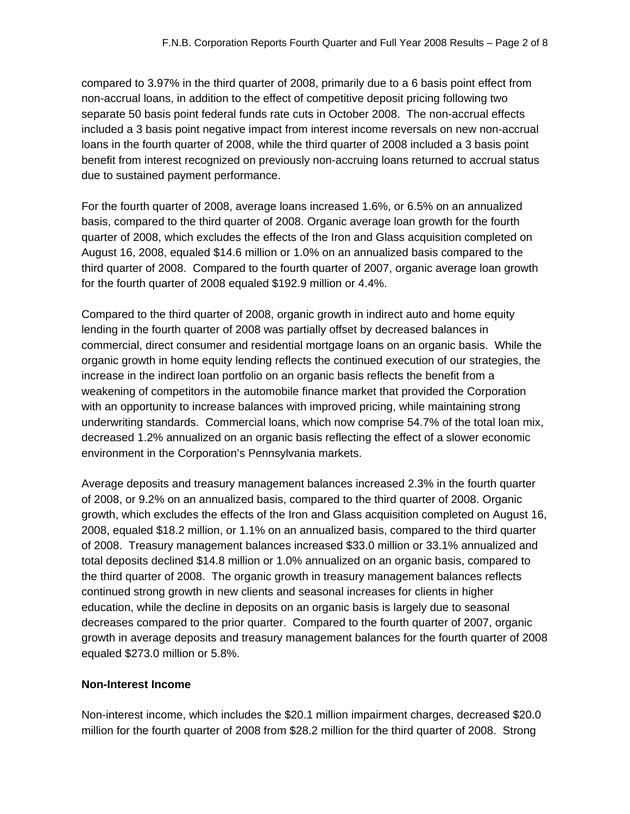compared to 3.97% in the third quarter of 2008, primarily due to a 6 basis point effect from non-accrual loans, in addition to the effect of competitive deposit pricing following two separate 50 basis point federal funds rate cuts in October 2008. The non-accrual effects included a 3 basis point negative impact from interest income reversals on new non-accrual loans in the fourth quarter of 2008, while the third quarter of 2008 included a 3 basis point benefit from interest recognized on previously non-accruing loans returned to accrual status due to sustained payment performance.

For the fourth quarter of 2008, average loans increased 1.6%, or 6.5% on an annualized basis, compared to the third quarter of 2008. Organic average loan growth for the fourth quarter of 2008, which excludes the effects of the Iron and Glass acquisition completed on August 16, 2008, equaled \$14.6 million or 1.0% on an annualized basis compared to the third quarter of 2008. Compared to the fourth quarter of 2007, organic average loan growth for the fourth quarter of 2008 equaled \$192.9 million or 4.4%.

Compared to the third quarter of 2008, organic growth in indirect auto and home equity lending in the fourth quarter of 2008 was partially offset by decreased balances in commercial, direct consumer and residential mortgage loans on an organic basis. While the organic growth in home equity lending reflects the continued execution of our strategies, the increase in the indirect loan portfolio on an organic basis reflects the benefit from a weakening of competitors in the automobile finance market that provided the Corporation with an opportunity to increase balances with improved pricing, while maintaining strong underwriting standards. Commercial loans, which now comprise 54.7% of the total loan mix, decreased 1.2% annualized on an organic basis reflecting the effect of a slower economic environment in the Corporation's Pennsylvania markets.

Average deposits and treasury management balances increased 2.3% in the fourth quarter of 2008, or 9.2% on an annualized basis, compared to the third quarter of 2008. Organic growth, which excludes the effects of the Iron and Glass acquisition completed on August 16, 2008, equaled \$18.2 million, or 1.1% on an annualized basis, compared to the third quarter of 2008. Treasury management balances increased \$33.0 million or 33.1% annualized and total deposits declined \$14.8 million or 1.0% annualized on an organic basis, compared to the third quarter of 2008. The organic growth in treasury management balances reflects continued strong growth in new clients and seasonal increases for clients in higher education, while the decline in deposits on an organic basis is largely due to seasonal decreases compared to the prior quarter. Compared to the fourth quarter of 2007, organic growth in average deposits and treasury management balances for the fourth quarter of 2008 equaled \$273.0 million or 5.8%.

### **Non-Interest Income**

Non-interest income, which includes the \$20.1 million impairment charges, decreased \$20.0 million for the fourth quarter of 2008 from \$28.2 million for the third quarter of 2008. Strong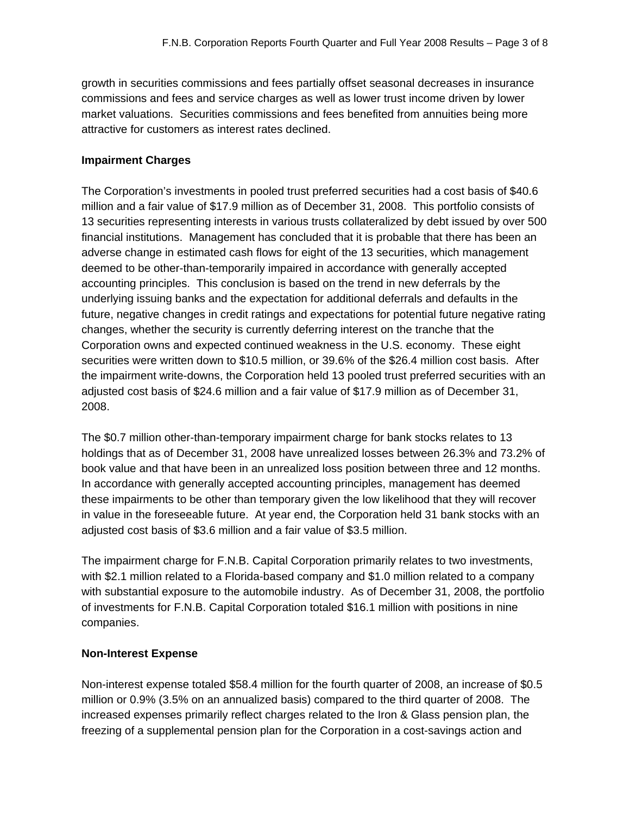growth in securities commissions and fees partially offset seasonal decreases in insurance commissions and fees and service charges as well as lower trust income driven by lower market valuations. Securities commissions and fees benefited from annuities being more attractive for customers as interest rates declined.

### **Impairment Charges**

The Corporation's investments in pooled trust preferred securities had a cost basis of \$40.6 million and a fair value of \$17.9 million as of December 31, 2008. This portfolio consists of 13 securities representing interests in various trusts collateralized by debt issued by over 500 financial institutions. Management has concluded that it is probable that there has been an adverse change in estimated cash flows for eight of the 13 securities, which management deemed to be other-than-temporarily impaired in accordance with generally accepted accounting principles. This conclusion is based on the trend in new deferrals by the underlying issuing banks and the expectation for additional deferrals and defaults in the future, negative changes in credit ratings and expectations for potential future negative rating changes, whether the security is currently deferring interest on the tranche that the Corporation owns and expected continued weakness in the U.S. economy. These eight securities were written down to \$10.5 million, or 39.6% of the \$26.4 million cost basis. After the impairment write-downs, the Corporation held 13 pooled trust preferred securities with an adjusted cost basis of \$24.6 million and a fair value of \$17.9 million as of December 31, 2008.

The \$0.7 million other-than-temporary impairment charge for bank stocks relates to 13 holdings that as of December 31, 2008 have unrealized losses between 26.3% and 73.2% of book value and that have been in an unrealized loss position between three and 12 months. In accordance with generally accepted accounting principles, management has deemed these impairments to be other than temporary given the low likelihood that they will recover in value in the foreseeable future. At year end, the Corporation held 31 bank stocks with an adjusted cost basis of \$3.6 million and a fair value of \$3.5 million.

The impairment charge for F.N.B. Capital Corporation primarily relates to two investments, with \$2.1 million related to a Florida-based company and \$1.0 million related to a company with substantial exposure to the automobile industry. As of December 31, 2008, the portfolio of investments for F.N.B. Capital Corporation totaled \$16.1 million with positions in nine companies.

### **Non-Interest Expense**

Non-interest expense totaled \$58.4 million for the fourth quarter of 2008, an increase of \$0.5 million or 0.9% (3.5% on an annualized basis) compared to the third quarter of 2008. The increased expenses primarily reflect charges related to the Iron & Glass pension plan, the freezing of a supplemental pension plan for the Corporation in a cost-savings action and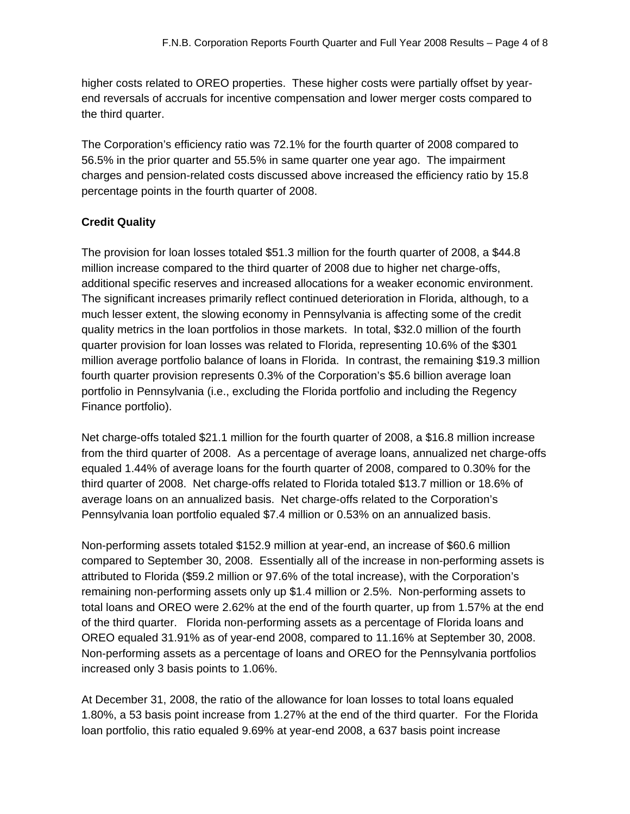higher costs related to OREO properties. These higher costs were partially offset by yearend reversals of accruals for incentive compensation and lower merger costs compared to the third quarter.

The Corporation's efficiency ratio was 72.1% for the fourth quarter of 2008 compared to 56.5% in the prior quarter and 55.5% in same quarter one year ago. The impairment charges and pension-related costs discussed above increased the efficiency ratio by 15.8 percentage points in the fourth quarter of 2008.

# **Credit Quality**

The provision for loan losses totaled \$51.3 million for the fourth quarter of 2008, a \$44.8 million increase compared to the third quarter of 2008 due to higher net charge-offs, additional specific reserves and increased allocations for a weaker economic environment. The significant increases primarily reflect continued deterioration in Florida, although, to a much lesser extent, the slowing economy in Pennsylvania is affecting some of the credit quality metrics in the loan portfolios in those markets. In total, \$32.0 million of the fourth quarter provision for loan losses was related to Florida, representing 10.6% of the \$301 million average portfolio balance of loans in Florida. In contrast, the remaining \$19.3 million fourth quarter provision represents 0.3% of the Corporation's \$5.6 billion average loan portfolio in Pennsylvania (i.e., excluding the Florida portfolio and including the Regency Finance portfolio).

Net charge-offs totaled \$21.1 million for the fourth quarter of 2008, a \$16.8 million increase from the third quarter of 2008. As a percentage of average loans, annualized net charge-offs equaled 1.44% of average loans for the fourth quarter of 2008, compared to 0.30% for the third quarter of 2008. Net charge-offs related to Florida totaled \$13.7 million or 18.6% of average loans on an annualized basis. Net charge-offs related to the Corporation's Pennsylvania loan portfolio equaled \$7.4 million or 0.53% on an annualized basis.

Non-performing assets totaled \$152.9 million at year-end, an increase of \$60.6 million compared to September 30, 2008. Essentially all of the increase in non-performing assets is attributed to Florida (\$59.2 million or 97.6% of the total increase), with the Corporation's remaining non-performing assets only up \$1.4 million or 2.5%. Non-performing assets to total loans and OREO were 2.62% at the end of the fourth quarter, up from 1.57% at the end of the third quarter. Florida non-performing assets as a percentage of Florida loans and OREO equaled 31.91% as of year-end 2008, compared to 11.16% at September 30, 2008. Non-performing assets as a percentage of loans and OREO for the Pennsylvania portfolios increased only 3 basis points to 1.06%.

At December 31, 2008, the ratio of the allowance for loan losses to total loans equaled 1.80%, a 53 basis point increase from 1.27% at the end of the third quarter. For the Florida loan portfolio, this ratio equaled 9.69% at year-end 2008, a 637 basis point increase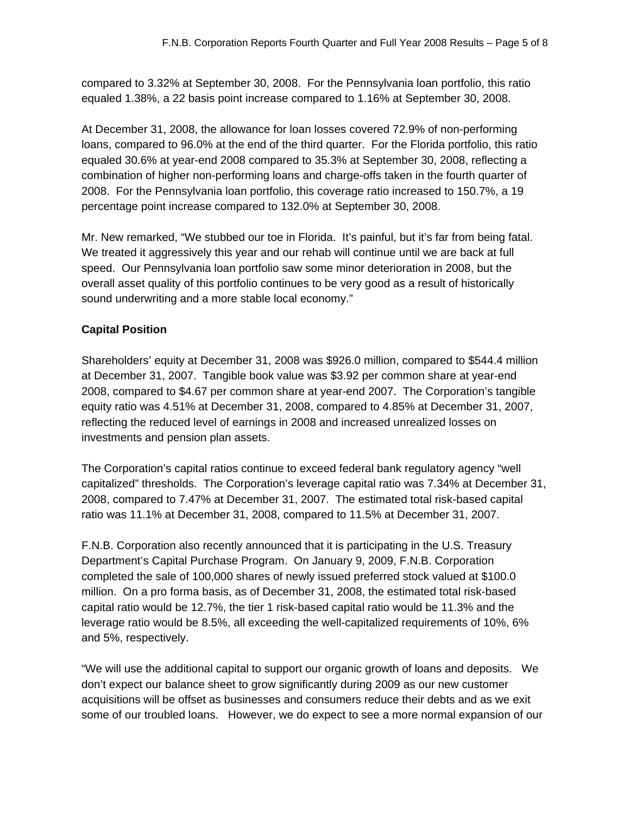compared to 3.32% at September 30, 2008. For the Pennsylvania loan portfolio, this ratio equaled 1.38%, a 22 basis point increase compared to 1.16% at September 30, 2008.

At December 31, 2008, the allowance for loan losses covered 72.9% of non-performing loans, compared to 96.0% at the end of the third quarter. For the Florida portfolio, this ratio equaled 30.6% at year-end 2008 compared to 35.3% at September 30, 2008, reflecting a combination of higher non-performing loans and charge-offs taken in the fourth quarter of 2008. For the Pennsylvania loan portfolio, this coverage ratio increased to 150.7%, a 19 percentage point increase compared to 132.0% at September 30, 2008.

Mr. New remarked, "We stubbed our toe in Florida. It's painful, but it's far from being fatal. We treated it aggressively this year and our rehab will continue until we are back at full speed. Our Pennsylvania loan portfolio saw some minor deterioration in 2008, but the overall asset quality of this portfolio continues to be very good as a result of historically sound underwriting and a more stable local economy."

# **Capital Position**

Shareholders' equity at December 31, 2008 was \$926.0 million, compared to \$544.4 million at December 31, 2007. Tangible book value was \$3.92 per common share at year-end 2008, compared to \$4.67 per common share at year-end 2007. The Corporation's tangible equity ratio was 4.51% at December 31, 2008, compared to 4.85% at December 31, 2007, reflecting the reduced level of earnings in 2008 and increased unrealized losses on investments and pension plan assets.

The Corporation's capital ratios continue to exceed federal bank regulatory agency "well capitalized" thresholds. The Corporation's leverage capital ratio was 7.34% at December 31, 2008, compared to 7.47% at December 31, 2007. The estimated total risk-based capital ratio was 11.1% at December 31, 2008, compared to 11.5% at December 31, 2007.

F.N.B. Corporation also recently announced that it is participating in the U.S. Treasury Department's Capital Purchase Program. On January 9, 2009, F.N.B. Corporation completed the sale of 100,000 shares of newly issued preferred stock valued at \$100.0 million. On a pro forma basis, as of December 31, 2008, the estimated total risk-based capital ratio would be 12.7%, the tier 1 risk-based capital ratio would be 11.3% and the leverage ratio would be 8.5%, all exceeding the well-capitalized requirements of 10%, 6% and 5%, respectively.

"We will use the additional capital to support our organic growth of loans and deposits. We don't expect our balance sheet to grow significantly during 2009 as our new customer acquisitions will be offset as businesses and consumers reduce their debts and as we exit some of our troubled loans. However, we do expect to see a more normal expansion of our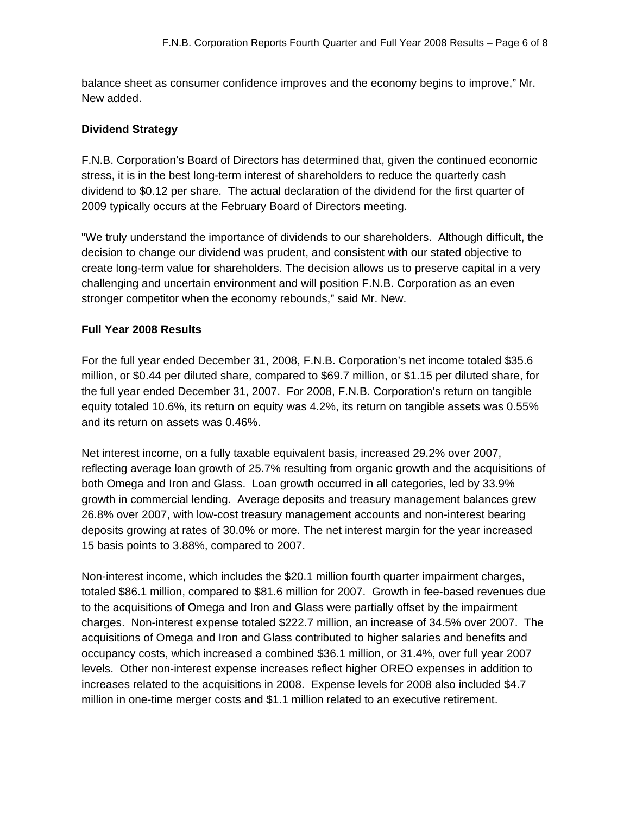balance sheet as consumer confidence improves and the economy begins to improve," Mr. New added.

### **Dividend Strategy**

F.N.B. Corporation's Board of Directors has determined that, given the continued economic stress, it is in the best long-term interest of shareholders to reduce the quarterly cash dividend to \$0.12 per share. The actual declaration of the dividend for the first quarter of 2009 typically occurs at the February Board of Directors meeting.

"We truly understand the importance of dividends to our shareholders. Although difficult, the decision to change our dividend was prudent, and consistent with our stated objective to create long-term value for shareholders. The decision allows us to preserve capital in a very challenging and uncertain environment and will position F.N.B. Corporation as an even stronger competitor when the economy rebounds," said Mr. New.

### **Full Year 2008 Results**

For the full year ended December 31, 2008, F.N.B. Corporation's net income totaled \$35.6 million, or \$0.44 per diluted share, compared to \$69.7 million, or \$1.15 per diluted share, for the full year ended December 31, 2007. For 2008, F.N.B. Corporation's return on tangible equity totaled 10.6%, its return on equity was 4.2%, its return on tangible assets was 0.55% and its return on assets was 0.46%.

Net interest income, on a fully taxable equivalent basis, increased 29.2% over 2007, reflecting average loan growth of 25.7% resulting from organic growth and the acquisitions of both Omega and Iron and Glass. Loan growth occurred in all categories, led by 33.9% growth in commercial lending. Average deposits and treasury management balances grew 26.8% over 2007, with low-cost treasury management accounts and non-interest bearing deposits growing at rates of 30.0% or more. The net interest margin for the year increased 15 basis points to 3.88%, compared to 2007.

Non-interest income, which includes the \$20.1 million fourth quarter impairment charges, totaled \$86.1 million, compared to \$81.6 million for 2007. Growth in fee-based revenues due to the acquisitions of Omega and Iron and Glass were partially offset by the impairment charges. Non-interest expense totaled \$222.7 million, an increase of 34.5% over 2007. The acquisitions of Omega and Iron and Glass contributed to higher salaries and benefits and occupancy costs, which increased a combined \$36.1 million, or 31.4%, over full year 2007 levels. Other non-interest expense increases reflect higher OREO expenses in addition to increases related to the acquisitions in 2008. Expense levels for 2008 also included \$4.7 million in one-time merger costs and \$1.1 million related to an executive retirement.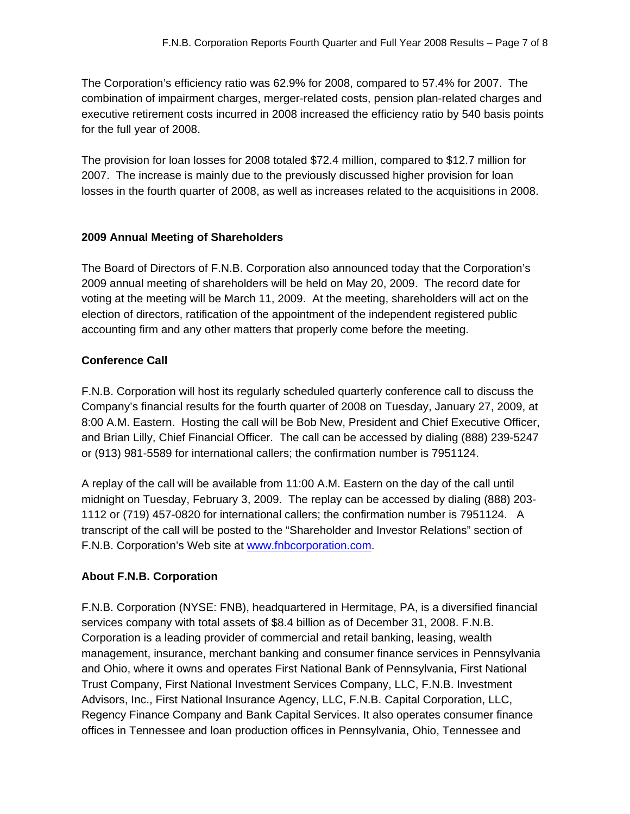The Corporation's efficiency ratio was 62.9% for 2008, compared to 57.4% for 2007. The combination of impairment charges, merger-related costs, pension plan-related charges and executive retirement costs incurred in 2008 increased the efficiency ratio by 540 basis points for the full year of 2008.

The provision for loan losses for 2008 totaled \$72.4 million, compared to \$12.7 million for 2007. The increase is mainly due to the previously discussed higher provision for loan losses in the fourth quarter of 2008, as well as increases related to the acquisitions in 2008.

### **2009 Annual Meeting of Shareholders**

The Board of Directors of F.N.B. Corporation also announced today that the Corporation's 2009 annual meeting of shareholders will be held on May 20, 2009. The record date for voting at the meeting will be March 11, 2009. At the meeting, shareholders will act on the election of directors, ratification of the appointment of the independent registered public accounting firm and any other matters that properly come before the meeting.

### **Conference Call**

F.N.B. Corporation will host its regularly scheduled quarterly conference call to discuss the Company's financial results for the fourth quarter of 2008 on Tuesday, January 27, 2009, at 8:00 A.M. Eastern. Hosting the call will be Bob New, President and Chief Executive Officer, and Brian Lilly, Chief Financial Officer. The call can be accessed by dialing (888) 239-5247 or (913) 981-5589 for international callers; the confirmation number is 7951124.

A replay of the call will be available from 11:00 A.M. Eastern on the day of the call until midnight on Tuesday, February 3, 2009. The replay can be accessed by dialing (888) 203- 1112 or (719) 457-0820 for international callers; the confirmation number is 7951124. A transcript of the call will be posted to the "Shareholder and Investor Relations" section of F.N.B. Corporation's Web site at www.fnbcorporation.com.

# **About F.N.B. Corporation**

F.N.B. Corporation (NYSE: FNB), headquartered in Hermitage, PA, is a diversified financial services company with total assets of \$8.4 billion as of December 31, 2008. F.N.B. Corporation is a leading provider of commercial and retail banking, leasing, wealth management, insurance, merchant banking and consumer finance services in Pennsylvania and Ohio, where it owns and operates First National Bank of Pennsylvania, First National Trust Company, First National Investment Services Company, LLC, F.N.B. Investment Advisors, Inc., First National Insurance Agency, LLC, F.N.B. Capital Corporation, LLC, Regency Finance Company and Bank Capital Services. It also operates consumer finance offices in Tennessee and loan production offices in Pennsylvania, Ohio, Tennessee and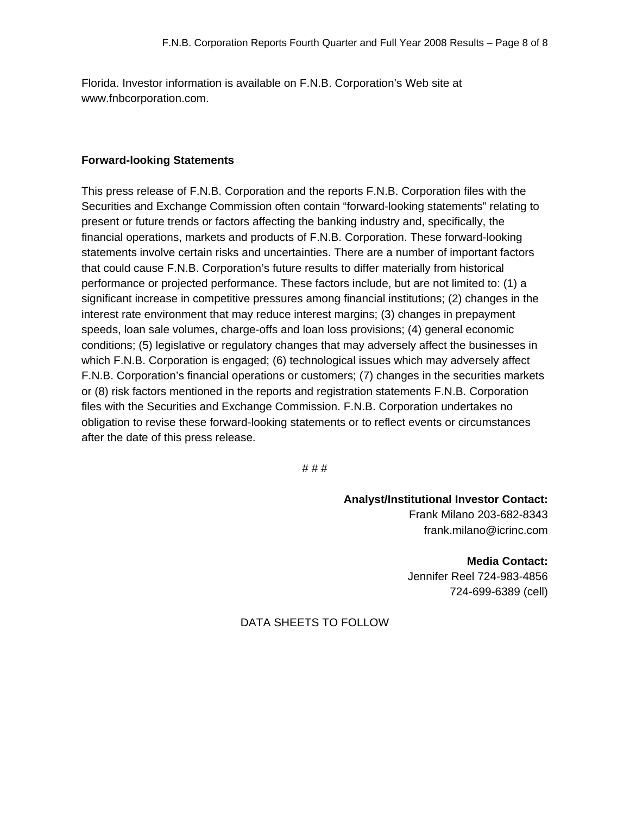Florida. Investor information is available on F.N.B. Corporation's Web site at www.fnbcorporation.com.

### **Forward-looking Statements**

This press release of F.N.B. Corporation and the reports F.N.B. Corporation files with the Securities and Exchange Commission often contain "forward-looking statements" relating to present or future trends or factors affecting the banking industry and, specifically, the financial operations, markets and products of F.N.B. Corporation. These forward-looking statements involve certain risks and uncertainties. There are a number of important factors that could cause F.N.B. Corporation's future results to differ materially from historical performance or projected performance. These factors include, but are not limited to: (1) a significant increase in competitive pressures among financial institutions; (2) changes in the interest rate environment that may reduce interest margins; (3) changes in prepayment speeds, loan sale volumes, charge-offs and loan loss provisions; (4) general economic conditions; (5) legislative or regulatory changes that may adversely affect the businesses in which F.N.B. Corporation is engaged; (6) technological issues which may adversely affect F.N.B. Corporation's financial operations or customers; (7) changes in the securities markets or (8) risk factors mentioned in the reports and registration statements F.N.B. Corporation files with the Securities and Exchange Commission. F.N.B. Corporation undertakes no obligation to revise these forward-looking statements or to reflect events or circumstances after the date of this press release.

# # #

**Analyst/Institutional Investor Contact:**  Frank Milano 203-682-8343

frank.milano@icrinc.com **Media Contact:** 

Jennifer Reel 724-983-4856 724-699-6389 (cell)

# DATA SHEETS TO FOLLOW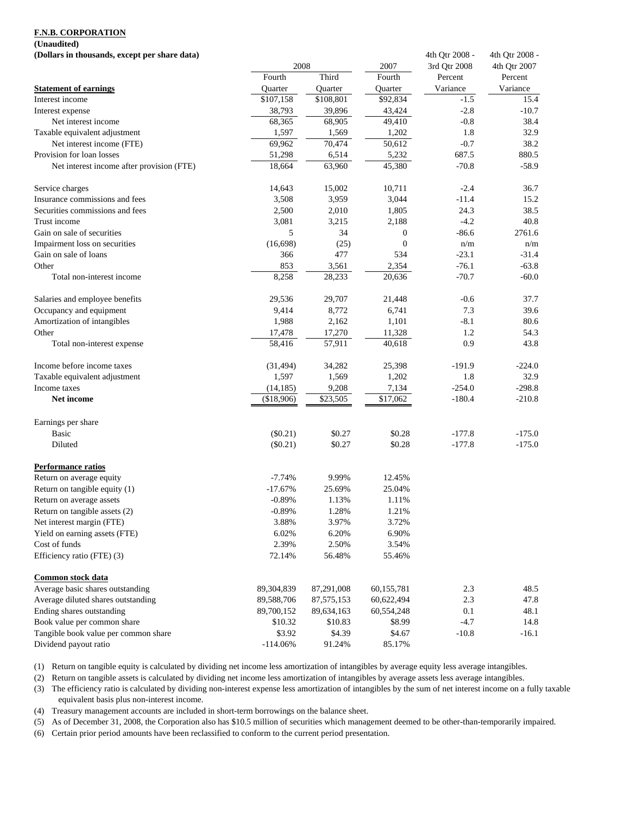#### **(Unaudited)**

**(Dollars in thousands, except per share data)** 4th Otr 2008 - 4th Otr 2008 - 4th Otr 2008 -

| двоимтэ нг июнянцая, слеерт рег знаге цата | 2008       |              | 2007         | 7111 YU 2000<br>3rd Qtr 2008 | 4th Qtr 2007 |
|--------------------------------------------|------------|--------------|--------------|------------------------------|--------------|
|                                            | Fourth     | Third        | Fourth       | Percent                      | Percent      |
| <b>Statement of earnings</b>               | Quarter    | Quarter      | Quarter      | Variance                     | Variance     |
| Interest income                            | \$107,158  | \$108,801    | \$92,834     | $-1.5$                       | 15.4         |
| Interest expense                           | 38,793     | 39,896       | 43,424       | $-2.8$                       | $-10.7$      |
| Net interest income                        | 68,365     | 68,905       | 49,410       | $-0.8$                       | 38.4         |
| Taxable equivalent adjustment              | 1,597      | 1,569        | 1,202        | 1.8                          | 32.9         |
| Net interest income (FTE)                  | 69,962     | 70,474       | 50,612       | $-0.7$                       | 38.2         |
| Provision for loan losses                  | 51,298     | 6,514        | 5,232        | 687.5                        | 880.5        |
| Net interest income after provision (FTE)  | 18,664     | 63,960       | 45,380       | $-70.8$                      | $-58.9$      |
| Service charges                            | 14,643     | 15,002       | 10,711       | $-2.4$                       | 36.7         |
| Insurance commissions and fees             | 3,508      | 3,959        | 3,044        | $-11.4$                      | 15.2         |
| Securities commissions and fees            | 2,500      | 2,010        | 1,805        | 24.3                         | 38.5         |
| Trust income                               | 3,081      | 3,215        | 2,188        | $-4.2$                       | 40.8         |
| Gain on sale of securities                 | 5          | 34           | $\mathbf{0}$ | $-86.6$                      | 2761.6       |
| Impairment loss on securities              | (16, 698)  | (25)         | $\mathbf{0}$ | n/m                          | n/m          |
| Gain on sale of loans                      | 366        | 477          | 534          | $-23.1$                      | $-31.4$      |
| Other                                      | 853        | 3,561        | 2,354        | $-76.1$                      | $-63.8$      |
| Total non-interest income                  | 8,258      | 28,233       | 20,636       | $-70.7$                      | $-60.0$      |
| Salaries and employee benefits             | 29,536     | 29,707       | 21,448       | $-0.6$                       | 37.7         |
| Occupancy and equipment                    | 9,414      | 8,772        | 6,741        | 7.3                          | 39.6         |
| Amortization of intangibles                | 1,988      | 2,162        | 1,101        | $-8.1$                       | 80.6         |
| Other                                      | 17,478     | 17,270       | 11,328       | 1.2                          | 54.3         |
| Total non-interest expense                 | 58,416     | 57,911       | 40,618       | 0.9                          | 43.8         |
| Income before income taxes                 | (31, 494)  | 34,282       | 25,398       | $-191.9$                     | $-224.0$     |
| Taxable equivalent adjustment              | 1,597      | 1,569        | 1,202        | 1.8                          | 32.9         |
| Income taxes                               | (14, 185)  | 9,208        | 7,134        | $-254.0$                     | $-298.8$     |
| Net income                                 | (\$18,906) | \$23,505     | \$17,062     | $-180.4$                     | $-210.8$     |
| Earnings per share                         |            |              |              |                              |              |
| <b>Basic</b>                               | (\$0.21)   | \$0.27       | \$0.28       | $-177.8$                     | $-175.0$     |
| Diluted                                    | $(\$0.21)$ | \$0.27       | \$0.28       | $-177.8$                     | $-175.0$     |
| <b>Performance ratios</b>                  |            |              |              |                              |              |
| Return on average equity                   | $-7.74%$   | 9.99%        | 12.45%       |                              |              |
| Return on tangible equity (1)              | $-17.67%$  | 25.69%       | 25.04%       |                              |              |
| Return on average assets                   | $-0.89%$   | 1.13%        | 1.11%        |                              |              |
| Return on tangible assets (2)              | $-0.89%$   | 1.28%        | 1.21%        |                              |              |
| Net interest margin (FTE)                  | 3.88%      | 3.97%        | 3.72%        |                              |              |
| Yield on earning assets (FTE)              | 6.02%      | 6.20%        | 6.90%        |                              |              |
| Cost of funds                              | 2.39%      | 2.50%        | 3.54%        |                              |              |
| Efficiency ratio (FTE) (3)                 | 72.14%     | 56.48%       | 55.46%       |                              |              |
| Common stock data                          |            |              |              |                              |              |
| Average basic shares outstanding           | 89,304,839 | 87,291,008   | 60,155,781   | 2.3                          | 48.5         |
| Average diluted shares outstanding         | 89,588,706 | 87, 575, 153 | 60,622,494   | 2.3                          | 47.8         |
| Ending shares outstanding                  | 89,700,152 | 89,634,163   | 60,554,248   | 0.1                          | 48.1         |
| Book value per common share                | \$10.32    | \$10.83      | \$8.99       | $-4.7$                       | 14.8         |
| Tangible book value per common share       | \$3.92     | \$4.39       | \$4.67       | $-10.8$                      | $-16.1$      |
| Dividend payout ratio                      | $-114.06%$ | 91.24%       | 85.17%       |                              |              |

(1) Return on tangible equity is calculated by dividing net income less amortization of intangibles by average equity less average intangibles.

(2) Return on tangible assets is calculated by dividing net income less amortization of intangibles by average assets less average intangibles.

(3) The efficiency ratio is calculated by dividing non-interest expense less amortization of intangibles by the sum of net interest income on a fully taxable equivalent basis plus non-interest income.

(4) Treasury management accounts are included in short-term borrowings on the balance sheet.

(5) As of December 31, 2008, the Corporation also has \$10.5 million of securities which management deemed to be other-than-temporarily impaired.

(6) Certain prior period amounts have been reclassified to conform to the current period presentation.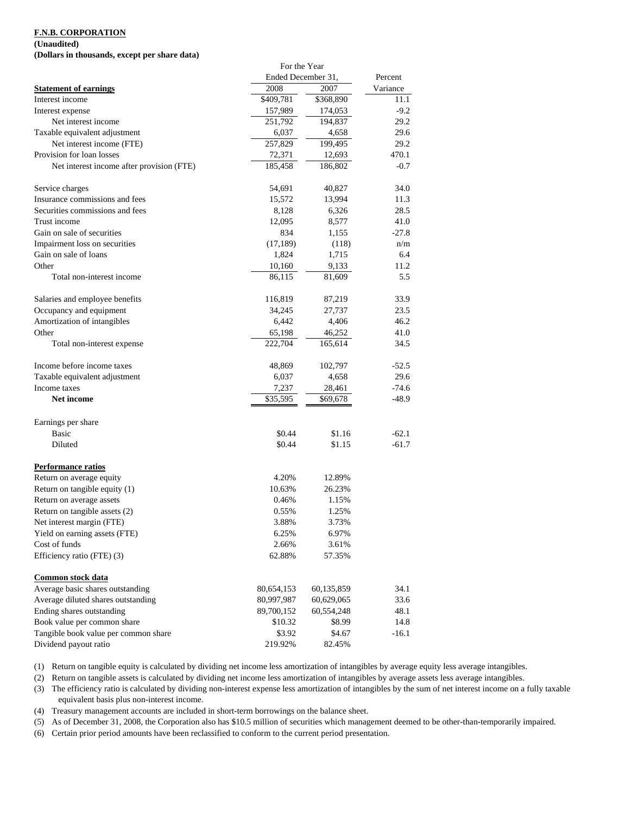#### **(Unaudited)**

**(Dollars in thousands, except per share data)**

|                                           | For the Year       |            |          |
|-------------------------------------------|--------------------|------------|----------|
|                                           | Ended December 31, |            | Percent  |
| <b>Statement of earnings</b>              | 2008               | 2007       | Variance |
| Interest income                           | \$409,781          | \$368,890  | 11.1     |
| Interest expense                          | 157,989            | 174,053    | $-9.2$   |
| Net interest income                       | 251,792            | 194,837    | 29.2     |
| Taxable equivalent adjustment             | 6,037              | 4,658      | 29.6     |
| Net interest income (FTE)                 | 257,829            | 199,495    | 29.2     |
| Provision for loan losses                 | 72,371             | 12,693     | 470.1    |
| Net interest income after provision (FTE) | 185,458            | 186,802    | $-0.7$   |
| Service charges                           | 54,691             | 40,827     | 34.0     |
| Insurance commissions and fees            | 15,572             | 13,994     | 11.3     |
| Securities commissions and fees           | 8,128              | 6,326      | 28.5     |
| Trust income                              | 12,095             | 8,577      | 41.0     |
| Gain on sale of securities                | 834                | 1,155      | $-27.8$  |
| Impairment loss on securities             | (17, 189)          | (118)      | n/m      |
| Gain on sale of loans                     | 1,824              | 1,715      | 6.4      |
| Other                                     | 10,160             | 9,133      | 11.2     |
| Total non-interest income                 | 86,115             | 81,609     | 5.5      |
| Salaries and employee benefits            | 116,819            | 87,219     | 33.9     |
| Occupancy and equipment                   | 34,245             | 27,737     | 23.5     |
| Amortization of intangibles               | 6,442              | 4,406      | 46.2     |
| Other                                     | 65,198             | 46,252     | 41.0     |
| Total non-interest expense                | 222,704            | 165,614    | 34.5     |
| Income before income taxes                | 48,869             | 102,797    | $-52.5$  |
| Taxable equivalent adjustment             | 6,037              | 4,658      | 29.6     |
| Income taxes                              | 7,237              | 28,461     | $-74.6$  |
| <b>Net income</b>                         | \$35,595           | \$69,678   | $-48.9$  |
| Earnings per share                        |                    |            |          |
| <b>Basic</b>                              | \$0.44             | \$1.16     | $-62.1$  |
| Diluted                                   | \$0.44             | \$1.15     | $-61.7$  |
| Performance ratios                        |                    |            |          |
| Return on average equity                  | 4.20%              | 12.89%     |          |
| Return on tangible equity (1)             | 10.63%             | 26.23%     |          |
| Return on average assets                  | 0.46%              | 1.15%      |          |
| Return on tangible assets (2)             | 0.55%              | 1.25%      |          |
| Net interest margin (FTE)                 | 3.88%              | 3.73%      |          |
| Yield on earning assets (FTE)             | 6.25%              | 6.97%      |          |
| Cost of funds                             | 2.66%              | 3.61%      |          |
| Efficiency ratio (FTE) (3)                | 62.88%             | 57.35%     |          |
| Common stock data                         |                    |            |          |
| Average basic shares outstanding          | 80,654,153         | 60,135,859 | 34.1     |
| Average diluted shares outstanding        | 80,997,987         | 60,629,065 | 33.6     |
| Ending shares outstanding                 | 89,700,152         | 60,554,248 | 48.1     |
| Book value per common share               | \$10.32            | \$8.99     | 14.8     |
| Tangible book value per common share      | \$3.92             | \$4.67     | $-16.1$  |
| Dividend payout ratio                     | 219.92%            | 82.45%     |          |

(1) Return on tangible equity is calculated by dividing net income less amortization of intangibles by average equity less average intangibles.

(2) Return on tangible assets is calculated by dividing net income less amortization of intangibles by average assets less average intangibles.

(3) The efficiency ratio is calculated by dividing non-interest expense less amortization of intangibles by the sum of net interest income on a fully taxable equivalent basis plus non-interest income.

(4) Treasury management accounts are included in short-term borrowings on the balance sheet.

(5) As of December 31, 2008, the Corporation also has \$10.5 million of securities which management deemed to be other-than-temporarily impaired.

(6) Certain prior period amounts have been reclassified to conform to the current period presentation.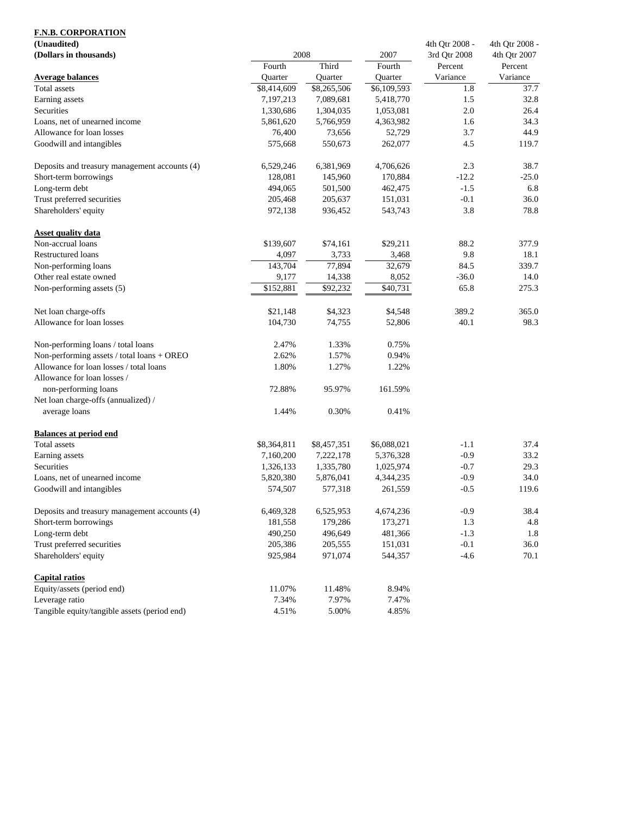| (Unaudited)                                   |             |             |             | 4th Qtr 2008 - | 4th Qtr 2008 - |  |
|-----------------------------------------------|-------------|-------------|-------------|----------------|----------------|--|
| (Dollars in thousands)                        | 2008        |             | 2007        | 3rd Qtr 2008   | 4th Qtr 2007   |  |
|                                               | Fourth      | Third       | Fourth      | Percent        | Percent        |  |
| <b>Average balances</b>                       | Quarter     | Quarter     | Quarter     | Variance       | Variance       |  |
| Total assets                                  | \$8,414,609 | \$8,265,506 | \$6,109,593 | 1.8            | 37.7           |  |
| Earning assets                                | 7,197,213   | 7,089,681   | 5,418,770   | 1.5            | 32.8           |  |
| Securities                                    | 1,330,686   | 1,304,035   | 1,053,081   | $2.0\,$        | 26.4           |  |
| Loans, net of unearned income                 | 5,861,620   | 5,766,959   | 4,363,982   | 1.6            | 34.3           |  |
| Allowance for loan losses                     | 76,400      | 73,656      | 52,729      | 3.7            | 44.9           |  |
| Goodwill and intangibles                      | 575,668     | 550,673     | 262,077     | 4.5            | 119.7          |  |
| Deposits and treasury management accounts (4) | 6,529,246   | 6,381,969   | 4,706,626   | 2.3            | 38.7           |  |
| Short-term borrowings                         | 128,081     | 145,960     | 170,884     | $-12.2$        | $-25.0$        |  |
| Long-term debt                                | 494,065     | 501,500     | 462,475     | $-1.5$         | 6.8            |  |
| Trust preferred securities                    | 205,468     | 205,637     | 151,031     | $-0.1$         | 36.0           |  |
| Shareholders' equity                          | 972,138     | 936,452     | 543,743     | 3.8            | 78.8           |  |
| <b>Asset quality data</b>                     |             |             |             |                |                |  |
| Non-accrual loans                             | \$139,607   | \$74,161    | \$29,211    | 88.2           | 377.9          |  |
| <b>Restructured loans</b>                     | 4,097       | 3,733       | 3,468       | 9.8            | 18.1           |  |
| Non-performing loans                          | 143,704     | 77,894      | 32,679      | 84.5           | 339.7          |  |
| Other real estate owned                       | 9,177       | 14,338      | 8,052       | $-36.0$        | 14.0           |  |
| Non-performing assets (5)                     | \$152,881   | \$92,232    | \$40,731    | 65.8           | 275.3          |  |
| Net loan charge-offs                          | \$21,148    | \$4,323     | \$4,548     | 389.2          | 365.0          |  |
| Allowance for loan losses                     | 104,730     | 74,755      | 52,806      | 40.1           | 98.3           |  |
| Non-performing loans / total loans            | 2.47%       | 1.33%       | 0.75%       |                |                |  |
| Non-performing assets / total loans + OREO    | 2.62%       | 1.57%       | 0.94%       |                |                |  |
| Allowance for loan losses / total loans       | 1.80%       | 1.27%       | 1.22%       |                |                |  |
| Allowance for loan losses /                   |             |             |             |                |                |  |
| non-performing loans                          | 72.88%      | 95.97%      | 161.59%     |                |                |  |
| Net loan charge-offs (annualized) /           |             |             |             |                |                |  |
| average loans                                 | 1.44%       | 0.30%       | 0.41%       |                |                |  |
| <b>Balances at period end</b>                 |             |             |             |                |                |  |
| Total assets                                  | \$8,364,811 | \$8,457,351 | \$6,088,021 | $-1.1$         | 37.4           |  |
| Earning assets                                | 7,160,200   | 7,222,178   | 5,376,328   | $-0.9$         | 33.2           |  |
| Securities                                    | 1,326,133   | 1,335,780   | 1,025,974   | $-0.7$         | 29.3           |  |
| Loans, net of unearned income                 | 5,820,380   | 5,876,041   | 4,344,235   | $-0.9$         | 34.0           |  |
| Goodwill and intangibles                      | 574,507     | 577,318     | 261,559     | $-0.5$         | 119.6          |  |
| Deposits and treasury management accounts (4) | 6,469,328   | 6,525,953   | 4,674,236   | $-0.9$         | 38.4           |  |
| Short-term borrowings                         | 181,558     | 179,286     | 173,271     | 1.3            | 4.8            |  |
| Long-term debt                                | 490,250     | 496,649     | 481,366     | $-1.3$         | 1.8            |  |
| Trust preferred securities                    | 205,386     | 205,555     | 151,031     | $-0.1$         | 36.0           |  |
| Shareholders' equity                          | 925,984     | 971,074     | 544,357     | $-4.6$         | 70.1           |  |
| <b>Capital ratios</b>                         |             |             |             |                |                |  |
| Equity/assets (period end)                    | 11.07%      | 11.48%      | 8.94%       |                |                |  |
| Leverage ratio                                | 7.34%       | 7.97%       | 7.47%       |                |                |  |
| Tangible equity/tangible assets (period end)  | 4.51%       | 5.00%       | 4.85%       |                |                |  |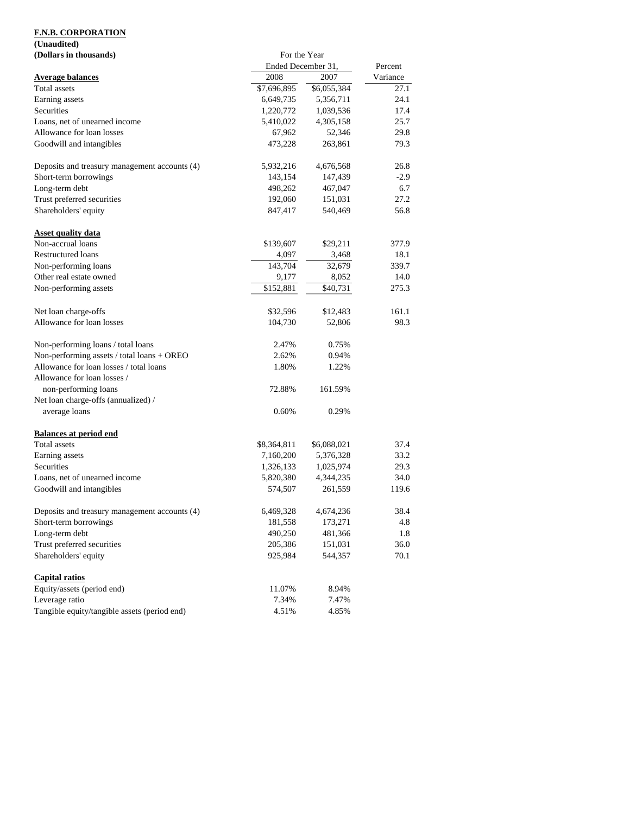# **(Unaudited)**

| (Dollars in thousands)                        | For the Year       |             |          |
|-----------------------------------------------|--------------------|-------------|----------|
|                                               | Ended December 31, | Percent     |          |
| <b>Average balances</b>                       | 2008               | 2007        | Variance |
| Total assets                                  | \$7,696,895        | \$6,055,384 | 27.1     |
| Earning assets                                | 6,649,735          | 5,356,711   | 24.1     |
| Securities                                    | 1,220,772          | 1,039,536   | 17.4     |
| Loans, net of unearned income                 | 5,410,022          | 4,305,158   | 25.7     |
| Allowance for loan losses                     | 67,962             | 52,346      | 29.8     |
| Goodwill and intangibles                      | 473,228            | 263,861     | 79.3     |
| Deposits and treasury management accounts (4) | 5,932,216          | 4,676,568   | 26.8     |
| Short-term borrowings                         | 143,154            | 147,439     | $-2.9$   |
| Long-term debt                                | 498,262            | 467,047     | 6.7      |
| Trust preferred securities                    | 192,060            | 151,031     | 27.2     |
| Shareholders' equity                          | 847,417            | 540,469     | 56.8     |
| <b>Asset quality data</b>                     |                    |             |          |
| Non-accrual loans                             | \$139,607          | \$29,211    | 377.9    |
| Restructured loans                            | 4,097              | 3,468       | 18.1     |
| Non-performing loans                          | 143,704            | 32,679      | 339.7    |
| Other real estate owned                       | 9,177              | 8,052       | 14.0     |
| Non-performing assets                         | \$152,881          | \$40,731    | 275.3    |
| Net loan charge-offs                          | \$32,596           | \$12,483    | 161.1    |
| Allowance for loan losses                     | 104,730            | 52,806      | 98.3     |
| Non-performing loans / total loans            | 2.47%              | 0.75%       |          |
| Non-performing assets / total loans + OREO    | 2.62%              | 0.94%       |          |
| Allowance for loan losses / total loans       | 1.80%              | 1.22%       |          |
| Allowance for loan losses /                   |                    |             |          |
| non-performing loans                          | 72.88%             | 161.59%     |          |
| Net loan charge-offs (annualized) /           |                    |             |          |
| average loans                                 | 0.60%              | 0.29%       |          |
| <b>Balances at period end</b>                 |                    |             |          |
| Total assets                                  | \$8,364,811        | \$6,088,021 | 37.4     |
| Earning assets                                | 7,160,200          | 5,376,328   | 33.2     |
| Securities                                    | 1,326,133          | 1,025,974   | 29.3     |
| Loans, net of unearned income                 | 5,820,380          | 4,344,235   | 34.0     |
| Goodwill and intangibles                      | 574,507            | 261,559     | 119.6    |
| Deposits and treasury management accounts (4) | 6,469,328          | 4,674,236   | 38.4     |
| Short-term borrowings                         | 181,558            | 173,271     | 4.8      |
| Long-term debt                                | 490,250            | 481,366     | 1.8      |
| Trust preferred securities                    | 205,386            | 151,031     | 36.0     |
| Shareholders' equity                          | 925,984            | 544,357     | 70.1     |
| <b>Capital ratios</b>                         |                    |             |          |
| Equity/assets (period end)                    | 11.07%             | 8.94%       |          |
| Leverage ratio                                | 7.34%              | 7.47%       |          |
| Tangible equity/tangible assets (period end)  | 4.51%              | 4.85%       |          |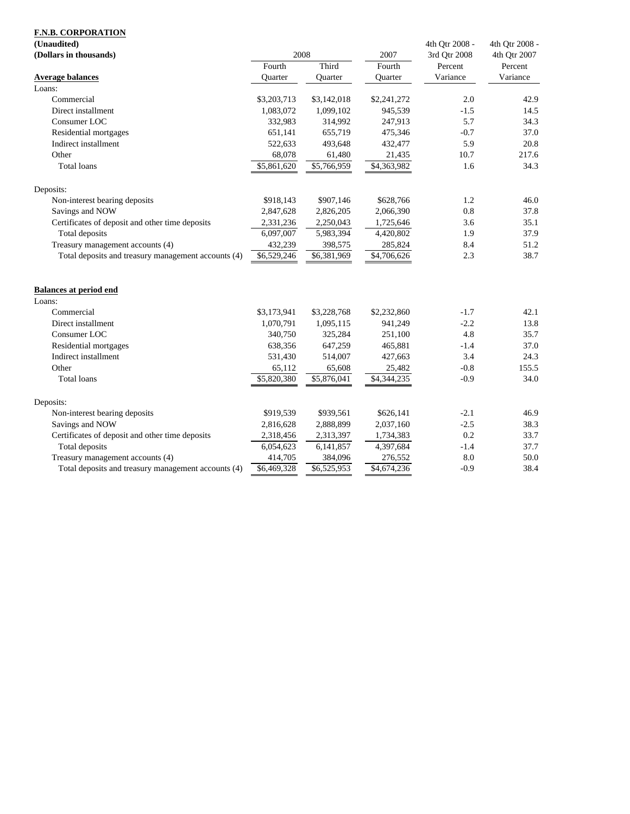| (Unaudited)                                         |                |                |             | 4th Qtr 2008 - | 4th Qtr 2008 - |  |
|-----------------------------------------------------|----------------|----------------|-------------|----------------|----------------|--|
| (Dollars in thousands)                              | 2008           |                | 2007        | 3rd Qtr 2008   | 4th Qtr 2007   |  |
|                                                     | Fourth         | Third          | Fourth      | Percent        | Percent        |  |
| <b>Average balances</b>                             | <b>Ouarter</b> | <b>Ouarter</b> | Ouarter     | Variance       | Variance       |  |
| Loans:                                              |                |                |             |                |                |  |
| Commercial                                          | \$3,203,713    | \$3,142,018    | \$2,241,272 | 2.0            | 42.9           |  |
| Direct installment                                  | 1,083,072      | 1,099,102      | 945,539     | $-1.5$         | 14.5           |  |
| Consumer LOC                                        | 332,983        | 314,992        | 247,913     | 5.7            | 34.3           |  |
| Residential mortgages                               | 651,141        | 655,719        | 475,346     | $-0.7$         | 37.0           |  |
| Indirect installment                                | 522,633        | 493,648        | 432,477     | 5.9            | 20.8           |  |
| Other                                               | 68,078         | 61,480         | 21,435      | 10.7           | 217.6          |  |
| <b>Total loans</b>                                  | \$5,861,620    | \$5,766,959    | \$4,363,982 | 1.6            | 34.3           |  |
| Deposits:                                           |                |                |             |                |                |  |
| Non-interest bearing deposits                       | \$918,143      | \$907,146      | \$628,766   | 1.2            | 46.0           |  |
| Savings and NOW                                     | 2,847,628      | 2,826,205      | 2,066,390   | 0.8            | 37.8           |  |
| Certificates of deposit and other time deposits     | 2,331,236      | 2,250,043      | 1,725,646   | 3.6            | 35.1           |  |
| Total deposits                                      | 6,097,007      | 5,983,394      | 4,420,802   | 1.9            | 37.9           |  |
| Treasury management accounts (4)                    | 432,239        | 398,575        | 285,824     | 8.4            | 51.2           |  |
| Total deposits and treasury management accounts (4) | \$6,529,246    | \$6,381,969    | \$4,706,626 | 2.3            | 38.7           |  |
| <b>Balances at period end</b>                       |                |                |             |                |                |  |
| Loans:                                              |                |                |             |                |                |  |
| Commercial                                          | \$3,173,941    | \$3,228,768    | \$2,232,860 | $-1.7$         | 42.1           |  |
| Direct installment                                  | 1,070,791      | 1,095,115      | 941,249     | $-2.2$         | 13.8           |  |
| Consumer LOC                                        | 340,750        | 325,284        | 251,100     | 4.8            | 35.7           |  |
| Residential mortgages                               | 638,356        | 647,259        | 465,881     | $-1.4$         | 37.0           |  |
| Indirect installment                                | 531,430        | 514,007        | 427,663     | 3.4            | 24.3           |  |
| Other                                               | 65,112         | 65,608         | 25,482      | $-0.8$         | 155.5          |  |
| <b>Total loans</b>                                  | \$5,820,380    | \$5,876,041    | \$4,344,235 | $-0.9$         | 34.0           |  |
| Deposits:                                           |                |                |             |                |                |  |
| Non-interest bearing deposits                       | \$919,539      | \$939,561      | \$626,141   | $-2.1$         | 46.9           |  |
| Savings and NOW                                     | 2,816,628      | 2,888,899      | 2,037,160   | $-2.5$         | 38.3           |  |
| Certificates of deposit and other time deposits     | 2,318,456      | 2,313,397      | 1,734,383   | 0.2            | 33.7           |  |
| Total deposits                                      | 6,054,623      | 6,141,857      | 4,397,684   | $-1.4$         | 37.7           |  |
| Treasury management accounts (4)                    | 414,705        | 384,096        | 276,552     | 8.0            | 50.0           |  |
| Total deposits and treasury management accounts (4) | \$6,469,328    | \$6,525,953    | \$4,674,236 | $-0.9$         | 38.4           |  |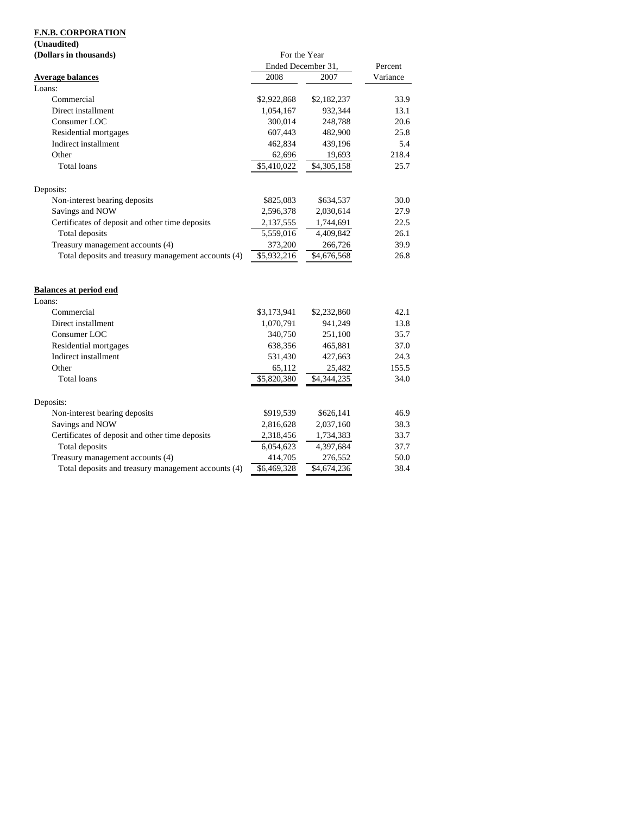### **(Unaudited)**

| (Dollars in thousands)                              | For the Year       |             |          |  |
|-----------------------------------------------------|--------------------|-------------|----------|--|
|                                                     | Ended December 31, |             | Percent  |  |
| <b>Average balances</b>                             | 2008               | 2007        | Variance |  |
| Loans:                                              |                    |             |          |  |
| Commercial                                          | \$2,922,868        | \$2,182,237 | 33.9     |  |
| Direct installment                                  | 1,054,167          | 932,344     | 13.1     |  |
| Consumer LOC                                        | 300,014            | 248,788     | 20.6     |  |
| Residential mortgages                               | 607,443            | 482,900     | 25.8     |  |
| Indirect installment                                | 462,834            | 439,196     | 5.4      |  |
| Other                                               | 62,696             | 19,693      | 218.4    |  |
| <b>Total loans</b>                                  | \$5,410,022        | \$4,305,158 | 25.7     |  |
| Deposits:                                           |                    |             |          |  |
| Non-interest bearing deposits                       | \$825,083          | \$634,537   | 30.0     |  |
| Savings and NOW                                     | 2,596,378          | 2,030,614   | 27.9     |  |
| Certificates of deposit and other time deposits     | 2,137,555          | 1,744,691   | 22.5     |  |
| Total deposits                                      | 5,559,016          | 4,409,842   | 26.1     |  |
| Treasury management accounts (4)                    | 373,200            | 266,726     | 39.9     |  |
| Total deposits and treasury management accounts (4) | \$5,932,216        | \$4,676,568 | 26.8     |  |
| <b>Balances at period end</b><br>Loans:             |                    |             |          |  |
| Commercial                                          | \$3,173,941        | \$2,232,860 | 42.1     |  |
| Direct installment                                  | 1,070,791          | 941,249     | 13.8     |  |
| Consumer LOC                                        | 340,750            | 251,100     | 35.7     |  |
| Residential mortgages                               | 638,356            | 465,881     | 37.0     |  |
| Indirect installment                                | 531,430            | 427,663     | 24.3     |  |
| Other                                               | 65,112             | 25,482      | 155.5    |  |
| Total loans                                         | \$5,820,380        | \$4,344,235 | 34.0     |  |
| Deposits:                                           |                    |             |          |  |
| Non-interest bearing deposits                       | \$919,539          | \$626,141   | 46.9     |  |
| Savings and NOW                                     | 2,816,628          | 2,037,160   | 38.3     |  |
| Certificates of deposit and other time deposits     | 2,318,456          | 1,734,383   | 33.7     |  |
| Total deposits                                      | 6,054,623          | 4,397,684   | 37.7     |  |
| Treasury management accounts (4)                    | 414,705            | 276,552     | 50.0     |  |
| Total deposits and treasury management accounts (4) | \$6,469,328        | \$4,674,236 | 38.4     |  |